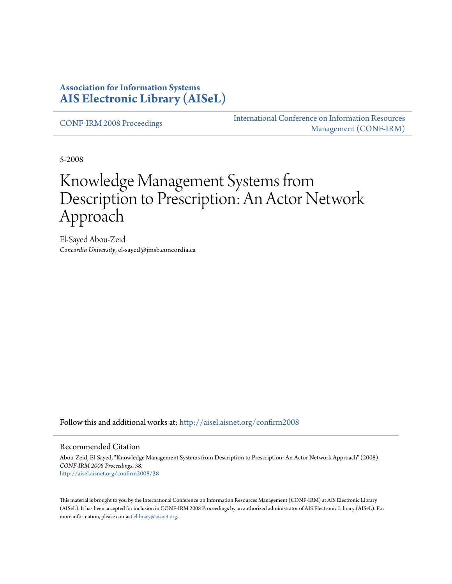#### **Association for Information Systems [AIS Electronic Library \(AISeL\)](http://aisel.aisnet.org?utm_source=aisel.aisnet.org%2Fconfirm2008%2F38&utm_medium=PDF&utm_campaign=PDFCoverPages)**

[CONF-IRM 2008 Proceedings](http://aisel.aisnet.org/confirm2008?utm_source=aisel.aisnet.org%2Fconfirm2008%2F38&utm_medium=PDF&utm_campaign=PDFCoverPages)

[International Conference on Information Resources](http://aisel.aisnet.org/conf-irm?utm_source=aisel.aisnet.org%2Fconfirm2008%2F38&utm_medium=PDF&utm_campaign=PDFCoverPages) [Management \(CONF-IRM\)](http://aisel.aisnet.org/conf-irm?utm_source=aisel.aisnet.org%2Fconfirm2008%2F38&utm_medium=PDF&utm_campaign=PDFCoverPages)

5-2008

# Knowledge Management Systems from Description to Prescription: An Actor Network Approach

El-Sayed Abou-Zeid *Concordia University*, el-sayed@jmsb.concordia.ca

Follow this and additional works at: [http://aisel.aisnet.org/confirm2008](http://aisel.aisnet.org/confirm2008?utm_source=aisel.aisnet.org%2Fconfirm2008%2F38&utm_medium=PDF&utm_campaign=PDFCoverPages)

#### Recommended Citation

Abou-Zeid, El-Sayed, "Knowledge Management Systems from Description to Prescription: An Actor Network Approach" (2008). *CONF-IRM 2008 Proceedings*. 38. [http://aisel.aisnet.org/confirm2008/38](http://aisel.aisnet.org/confirm2008/38?utm_source=aisel.aisnet.org%2Fconfirm2008%2F38&utm_medium=PDF&utm_campaign=PDFCoverPages)

This material is brought to you by the International Conference on Information Resources Management (CONF-IRM) at AIS Electronic Library (AISeL). It has been accepted for inclusion in CONF-IRM 2008 Proceedings by an authorized administrator of AIS Electronic Library (AISeL). For more information, please contact [elibrary@aisnet.org.](mailto:elibrary@aisnet.org%3E)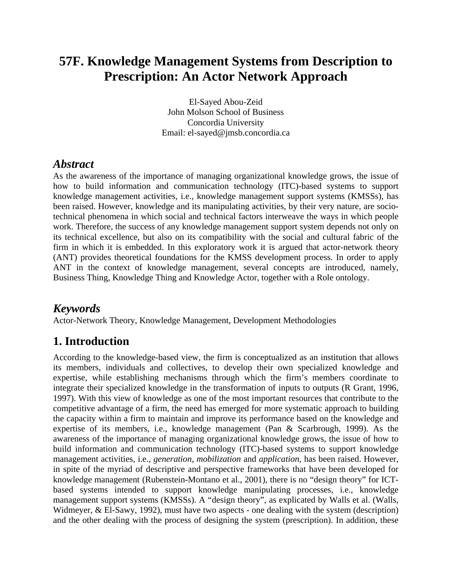## **57F. Knowledge Management Systems from Description to Prescription: An Actor Network Approach**

El-Sayed Abou-Zeid John Molson School of Business Concordia University Email: el-sayed@jmsb.concordia.ca

#### *Abstract*

As the awareness of the importance of managing organizational knowledge grows, the issue of how to build information and communication technology (ITC)-based systems to support knowledge management activities, i.e., knowledge management support systems (KMSSs), has been raised. However, knowledge and its manipulating activities, by their very nature, are sociotechnical phenomena in which social and technical factors interweave the ways in which people work. Therefore, the success of any knowledge management support system depends not only on its technical excellence, but also on its compatibility with the social and cultural fabric of the firm in which it is embedded. In this exploratory work it is argued that actor-network theory (ANT) provides theoretical foundations for the KMSS development process. In order to apply ANT in the context of knowledge management, several concepts are introduced, namely, Business Thing, Knowledge Thing and Knowledge Actor, together with a Role ontology.

#### *Keywords*

Actor-Network Theory, Knowledge Management, Development Methodologies

#### **1. Introduction**

According to the knowledge-based view, the firm is conceptualized as an institution that allows its members, individuals and collectives, to develop their own specialized knowledge and expertise, while establishing mechanisms through which the firm's members coordinate to integrate their specialized knowledge in the transformation of inputs to outputs (R Grant, 1996, 1997). With this view of knowledge as one of the most important resources that contribute to the competitive advantage of a firm, the need has emerged for more systematic approach to building the capacity within a firm to maintain and improve its performance based on the knowledge and expertise of its members, i.e., knowledge management (Pan & Scarbrough, 1999). As the awareness of the importance of managing organizational knowledge grows, the issue of how to build information and communication technology (ITC)-based systems to support knowledge management activities, i.e., *generation*, *mobilization* and *application*, has been raised. However, in spite of the myriad of descriptive and perspective frameworks that have been developed for knowledge management (Rubenstein-Montano et al., 2001), there is no "design theory" for ICTbased systems intended to support knowledge manipulating processes, i.e., knowledge management support systems (KMSSs). A "design theory", as explicated by Walls et al. (Walls, Widmeyer, & El-Sawy, 1992), must have two aspects - one dealing with the system (description) and the other dealing with the process of designing the system (prescription). In addition, these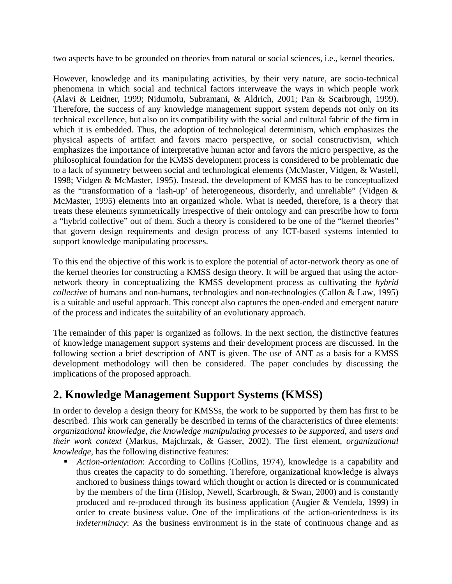two aspects have to be grounded on theories from natural or social sciences, i.e., kernel theories.

However, knowledge and its manipulating activities, by their very nature, are socio-technical phenomena in which social and technical factors interweave the ways in which people work (Alavi & Leidner, 1999; Nidumolu, Subramani, & Aldrich, 2001; Pan & Scarbrough, 1999). Therefore, the success of any knowledge management support system depends not only on its technical excellence, but also on its compatibility with the social and cultural fabric of the firm in which it is embedded. Thus, the adoption of technological determinism, which emphasizes the physical aspects of artifact and favors macro perspective, or social constructivism, which emphasizes the importance of interpretative human actor and favors the micro perspective, as the philosophical foundation for the KMSS development process is considered to be problematic due to a lack of symmetry between social and technological elements (McMaster, Vidgen, & Wastell, 1998; Vidgen & McMaster, 1995). Instead, the development of KMSS has to be conceptualized as the "transformation of a 'lash-up' of heterogeneous, disorderly, and unreliable" (Vidgen & McMaster, 1995) elements into an organized whole. What is needed, therefore, is a theory that treats these elements symmetrically irrespective of their ontology and can prescribe how to form a "hybrid collective" out of them. Such a theory is considered to be one of the "kernel theories" that govern design requirements and design process of any ICT-based systems intended to support knowledge manipulating processes.

To this end the objective of this work is to explore the potential of actor-network theory as one of the kernel theories for constructing a KMSS design theory. It will be argued that using the actornetwork theory in conceptualizing the KMSS development process as cultivating the *hybrid collective* of humans and non-humans, technologies and non-technologies (Callon & Law, 1995) is a suitable and useful approach. This concept also captures the open-ended and emergent nature of the process and indicates the suitability of an evolutionary approach.

The remainder of this paper is organized as follows. In the next section, the distinctive features of knowledge management support systems and their development process are discussed. In the following section a brief description of ANT is given. The use of ANT as a basis for a KMSS development methodology will then be considered. The paper concludes by discussing the implications of the proposed approach.

### **2. Knowledge Management Support Systems (KMSS)**

In order to develop a design theory for KMSSs, the work to be supported by them has first to be described. This work can generally be described in terms of the characteristics of three elements: *organizational knowledge*, *the knowledge manipulating processes to be supported*, and *users and their work context* (Markus, Majchrzak, & Gasser, 2002). The first element, *organizational knowledge*, has the following distinctive features:

 *Action-orientation*: According to Collins (Collins, 1974), knowledge is a capability and thus creates the capacity to do something. Therefore, organizational knowledge is always anchored to business things toward which thought or action is directed or is communicated by the members of the firm (Hislop, Newell, Scarbrough, & Swan, 2000) and is constantly produced and re-produced through its business application (Augier & Vendela, 1999) in order to create business value. One of the implications of the action-orientedness is its *indeterminacy*: As the business environment is in the state of continuous change and as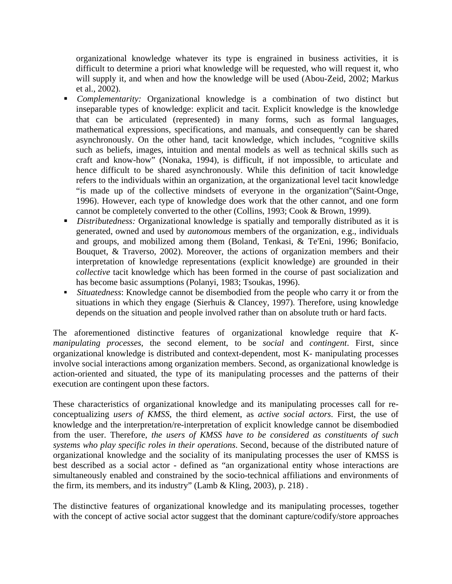organizational knowledge whatever its type is engrained in business activities, it is difficult to determine a priori what knowledge will be requested, who will request it, who will supply it, and when and how the knowledge will be used (Abou-Zeid, 2002; Markus et al., 2002).

- *Complementarity:* Organizational knowledge is a combination of two distinct but inseparable types of knowledge: explicit and tacit. Explicit knowledge is the knowledge that can be articulated (represented) in many forms, such as formal languages, mathematical expressions, specifications, and manuals, and consequently can be shared asynchronously. On the other hand, tacit knowledge, which includes, "cognitive skills such as beliefs, images, intuition and mental models as well as technical skills such as craft and know-how" (Nonaka, 1994), is difficult, if not impossible, to articulate and hence difficult to be shared asynchronously. While this definition of tacit knowledge refers to the individuals within an organization, at the organizational level tacit knowledge "is made up of the collective mindsets of everyone in the organization"(Saint-Onge, 1996). However, each type of knowledge does work that the other cannot, and one form cannot be completely converted to the other (Collins, 1993; Cook & Brown, 1999).
- *Distributedness:* Organizational knowledge is spatially and temporally distributed as it is generated, owned and used by *autonomous* members of the organization, e.g., individuals and groups, and mobilized among them (Boland, Tenkasi, & Te'Eni, 1996; Bonifacio, Bouquet, & Traverso, 2002). Moreover, the actions of organization members and their interpretation of knowledge representations (explicit knowledge) are grounded in their *collective* tacit knowledge which has been formed in the course of past socialization and has become basic assumptions (Polanyi, 1983; Tsoukas, 1996).
- *Situatedness*: Knowledge cannot be disembodied from the people who carry it or from the situations in which they engage (Sierhuis & Clancey, 1997). Therefore, using knowledge depends on the situation and people involved rather than on absolute truth or hard facts.

The aforementioned distinctive features of organizational knowledge require that *Kmanipulating processes*, the second element, to be *social* and *contingent*. First, since organizational knowledge is distributed and context-dependent, most K- manipulating processes involve social interactions among organization members. Second, as organizational knowledge is action-oriented and situated, the type of its manipulating processes and the patterns of their execution are contingent upon these factors.

These characteristics of organizational knowledge and its manipulating processes call for reconceptualizing *users of KMSS*, the third element, as *active social actors*. First, the use of knowledge and the interpretation/re-interpretation of explicit knowledge cannot be disembodied from the user. Therefore, *the users of KMSS have to be considered as constituents of such systems who play specific roles in their operations*. Second, because of the distributed nature of organizational knowledge and the sociality of its manipulating processes the user of KMSS is best described as a social actor - defined as "an organizational entity whose interactions are simultaneously enabled and constrained by the socio-technical affiliations and environments of the firm, its members, and its industry" (Lamb & Kling, 2003), p. 218) .

The distinctive features of organizational knowledge and its manipulating processes, together with the concept of active social actor suggest that the dominant capture/codify/store approaches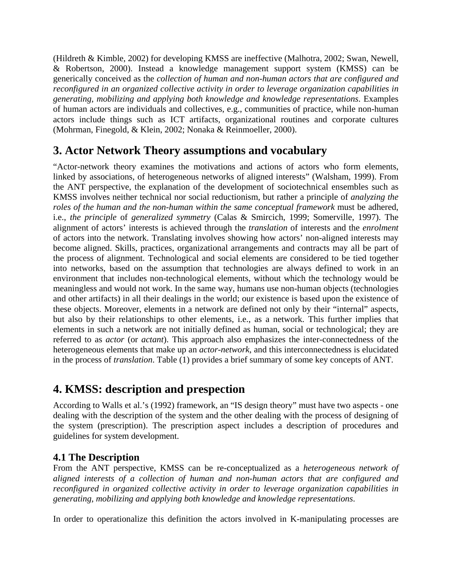(Hildreth & Kimble, 2002) for developing KMSS are ineffective (Malhotra, 2002; Swan, Newell, & Robertson, 2000). Instead a knowledge management support system (KMSS) can be generically conceived as the *collection of human and non-human actors that are configured and reconfigured in an organized collective activity in order to leverage organization capabilities in generating, mobilizing and applying both knowledge and knowledge representations*. Examples of human actors are individuals and collectives, e.g., communities of practice, while non-human actors include things such as ICT artifacts, organizational routines and corporate cultures (Mohrman, Finegold, & Klein, 2002; Nonaka & Reinmoeller, 2000).

### **3. Actor Network Theory assumptions and vocabulary**

"Actor-network theory examines the motivations and actions of actors who form elements, linked by associations, of heterogeneous networks of aligned interests" (Walsham, 1999). From the ANT perspective, the explanation of the development of sociotechnical ensembles such as KMSS involves neither technical nor social reductionism, but rather a principle of *analyzing the roles of the human and the non-human within the same conceptual framework* must be adhered, i.e., *the principle* of *generalized symmetry* (Calas & Smircich, 1999; Somerville, 1997). The alignment of actors' interests is achieved through the *translation* of interests and the *enrolment*  of actors into the network. Translating involves showing how actors' non-aligned interests may become aligned. Skills, practices, organizational arrangements and contracts may all be part of the process of alignment. Technological and social elements are considered to be tied together into networks, based on the assumption that technologies are always defined to work in an environment that includes non-technological elements, without which the technology would be meaningless and would not work. In the same way, humans use non-human objects (technologies and other artifacts) in all their dealings in the world; our existence is based upon the existence of these objects. Moreover, elements in a network are defined not only by their "internal" aspects, but also by their relationships to other elements, i.e., as a network. This further implies that elements in such a network are not initially defined as human, social or technological; they are referred to as *actor* (or *actant*). This approach also emphasizes the inter-connectedness of the heterogeneous elements that make up an *actor-network*, and this interconnectedness is elucidated in the process of *translation*. Table (1) provides a brief summary of some key concepts of ANT.

### **4. KMSS: description and prespection**

According to Walls et al.'s (1992) framework, an "IS design theory" must have two aspects - one dealing with the description of the system and the other dealing with the process of designing of the system (prescription). The prescription aspect includes a description of procedures and guidelines for system development.

#### **4.1 The Description**

From the ANT perspective, KMSS can be re-conceptualized as a *heterogeneous network of aligned interests of a collection of human and non-human actors that are configured and reconfigured in organized collective activity in order to leverage organization capabilities in generating, mobilizing and applying both knowledge and knowledge representations*.

In order to operationalize this definition the actors involved in K-manipulating processes are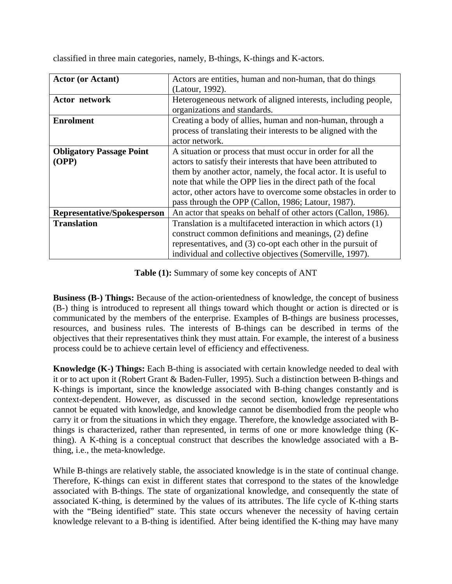| <b>Actor (or Actant)</b>           | Actors are entities, human and non-human, that do things        |
|------------------------------------|-----------------------------------------------------------------|
|                                    | (Latour, 1992).                                                 |
| <b>Actor network</b>               | Heterogeneous network of aligned interests, including people,   |
|                                    | organizations and standards.                                    |
| <b>Enrolment</b>                   | Creating a body of allies, human and non-human, through a       |
|                                    | process of translating their interests to be aligned with the   |
|                                    | actor network.                                                  |
| <b>Obligatory Passage Point</b>    | A situation or process that must occur in order for all the     |
| (OPP)                              | actors to satisfy their interests that have been attributed to  |
|                                    | them by another actor, namely, the focal actor. It is useful to |
|                                    | note that while the OPP lies in the direct path of the focal    |
|                                    | actor, other actors have to overcome some obstacles in order to |
|                                    | pass through the OPP (Callon, 1986; Latour, 1987).              |
| <b>Representative/Spokesperson</b> | An actor that speaks on behalf of other actors (Callon, 1986).  |
| <b>Translation</b>                 | Translation is a multifaceted interaction in which actors (1)   |
|                                    | construct common definitions and meanings, (2) define           |
|                                    | representatives, and (3) co-opt each other in the pursuit of    |
|                                    | individual and collective objectives (Somerville, 1997).        |

classified in three main categories, namely, B-things, K-things and K-actors.

**Table (1):** Summary of some key concepts of ANT

**Business (B-) Things:** Because of the action-orientedness of knowledge, the concept of business (B-) thing is introduced to represent all things toward which thought or action is directed or is communicated by the members of the enterprise. Examples of B-things are business processes, resources, and business rules. The interests of B-things can be described in terms of the objectives that their representatives think they must attain. For example, the interest of a business process could be to achieve certain level of efficiency and effectiveness.

**Knowledge (K-) Things:** Each B-thing is associated with certain knowledge needed to deal with it or to act upon it (Robert Grant & Baden-Fuller, 1995). Such a distinction between B-things and K-things is important, since the knowledge associated with B-thing changes constantly and is context-dependent. However, as discussed in the second section, knowledge representations cannot be equated with knowledge, and knowledge cannot be disembodied from the people who carry it or from the situations in which they engage. Therefore, the knowledge associated with Bthings is characterized, rather than represented, in terms of one or more knowledge thing (Kthing). A K-thing is a conceptual construct that describes the knowledge associated with a Bthing, i.e., the meta-knowledge.

While B-things are relatively stable, the associated knowledge is in the state of continual change. Therefore, K-things can exist in different states that correspond to the states of the knowledge associated with B-things. The state of organizational knowledge, and consequently the state of associated K-thing, is determined by the values of its attributes. The life cycle of K-thing starts with the "Being identified" state. This state occurs whenever the necessity of having certain knowledge relevant to a B-thing is identified. After being identified the K-thing may have many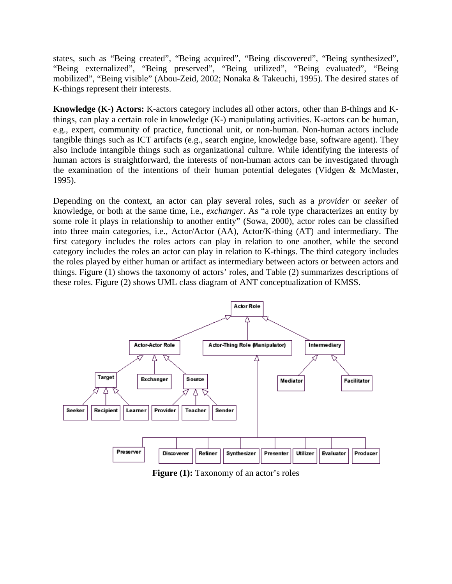states, such as "Being created", "Being acquired", "Being discovered", "Being synthesized", "Being externalized", "Being preserved", "Being utilized", "Being evaluated", "Being mobilized", "Being visible" (Abou-Zeid, 2002; Nonaka & Takeuchi, 1995). The desired states of K-things represent their interests.

**Knowledge (K-) Actors:** K-actors category includes all other actors, other than B-things and Kthings, can play a certain role in knowledge (K-) manipulating activities. K-actors can be human, e.g., expert, community of practice, functional unit, or non-human. Non-human actors include tangible things such as ICT artifacts (e.g., search engine, knowledge base, software agent). They also include intangible things such as organizational culture. While identifying the interests of human actors is straightforward, the interests of non-human actors can be investigated through the examination of the intentions of their human potential delegates (Vidgen & McMaster, 1995).

Depending on the context, an actor can play several roles, such as a *provider* or *seeker* of knowledge, or both at the same time, i.e., *exchanger*. As "a role type characterizes an entity by some role it plays in relationship to another entity" (Sowa, 2000), actor roles can be classified into three main categories, i.e., Actor/Actor (AA), Actor/K-thing (AT) and intermediary. The first category includes the roles actors can play in relation to one another, while the second category includes the roles an actor can play in relation to K-things. The third category includes the roles played by either human or artifact as intermediary between actors or between actors and things. Figure (1) shows the taxonomy of actors' roles, and Table (2) summarizes descriptions of these roles. Figure (2) shows UML class diagram of ANT conceptualization of KMSS.



**Figure (1):** Taxonomy of an actor's roles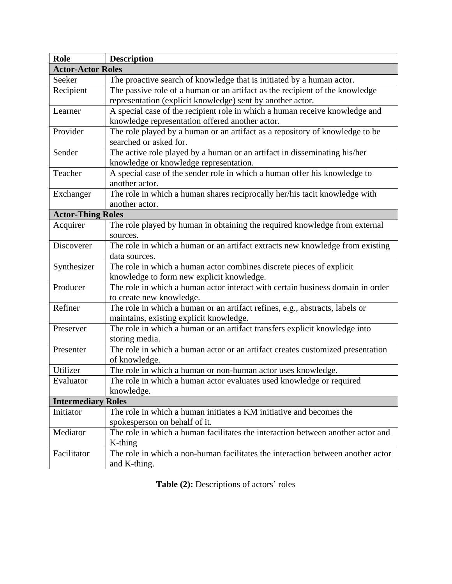| Role                      | <b>Description</b>                                                              |  |
|---------------------------|---------------------------------------------------------------------------------|--|
| <b>Actor-Actor Roles</b>  |                                                                                 |  |
| Seeker                    | The proactive search of knowledge that is initiated by a human actor.           |  |
| Recipient                 | The passive role of a human or an artifact as the recipient of the knowledge    |  |
|                           | representation (explicit knowledge) sent by another actor.                      |  |
| Learner                   | A special case of the recipient role in which a human receive knowledge and     |  |
|                           | knowledge representation offered another actor.                                 |  |
| Provider                  | The role played by a human or an artifact as a repository of knowledge to be    |  |
|                           | searched or asked for.                                                          |  |
| Sender                    | The active role played by a human or an artifact in disseminating his/her       |  |
|                           | knowledge or knowledge representation.                                          |  |
| Teacher                   | A special case of the sender role in which a human offer his knowledge to       |  |
|                           | another actor.                                                                  |  |
| Exchanger                 | The role in which a human shares reciprocally her/his tacit knowledge with      |  |
|                           | another actor.                                                                  |  |
| <b>Actor-Thing Roles</b>  |                                                                                 |  |
| Acquirer                  | The role played by human in obtaining the required knowledge from external      |  |
|                           | sources.                                                                        |  |
| Discoverer                | The role in which a human or an artifact extracts new knowledge from existing   |  |
|                           | data sources.                                                                   |  |
| Synthesizer               | The role in which a human actor combines discrete pieces of explicit            |  |
|                           | knowledge to form new explicit knowledge.                                       |  |
| Producer                  | The role in which a human actor interact with certain business domain in order  |  |
|                           | to create new knowledge.                                                        |  |
| Refiner                   | The role in which a human or an artifact refines, e.g., abstracts, labels or    |  |
|                           | maintains, existing explicit knowledge.                                         |  |
| Preserver                 | The role in which a human or an artifact transfers explicit knowledge into      |  |
|                           | storing media.                                                                  |  |
| Presenter                 | The role in which a human actor or an artifact creates customized presentation  |  |
|                           | of knowledge.                                                                   |  |
| Utilizer                  | The role in which a human or non-human actor uses knowledge.                    |  |
| Evaluator                 | The role in which a human actor evaluates used knowledge or required            |  |
|                           | knowledge.                                                                      |  |
| <b>Intermediary Roles</b> |                                                                                 |  |
| Initiator                 | The role in which a human initiates a KM initiative and becomes the             |  |
|                           | spokesperson on behalf of it.                                                   |  |
| Mediator                  | The role in which a human facilitates the interaction between another actor and |  |
|                           | K-thing                                                                         |  |
| Facilitator               | The role in which a non-human facilitates the interaction between another actor |  |
|                           | and K-thing.                                                                    |  |

**Table (2):** Descriptions of actors' roles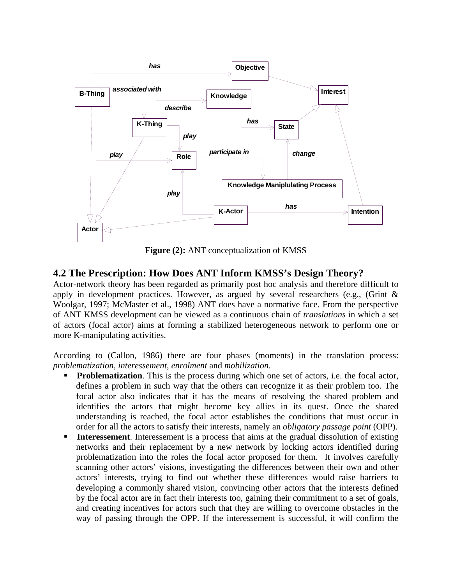

**Figure (2):** ANT conceptualization of KMSS

#### **4.2 The Prescription: How Does ANT Inform KMSS's Design Theory?**

Actor-network theory has been regarded as primarily post hoc analysis and therefore difficult to apply in development practices. However, as argued by several researchers (e.g., (Grint  $\&$ Woolgar, 1997; McMaster et al., 1998) ANT does have a normative face. From the perspective of ANT KMSS development can be viewed as a continuous chain of *translations* in which a set of actors (focal actor) aims at forming a stabilized heterogeneous network to perform one or more K-manipulating activities.

According to (Callon, 1986) there are four phases (moments) in the translation process: *problematization*, *interessement*, *enrolment* and *mobilization*.

- **Problematization**. This is the process during which one set of actors, i.e. the focal actor, defines a problem in such way that the others can recognize it as their problem too. The focal actor also indicates that it has the means of resolving the shared problem and identifies the actors that might become key allies in its quest. Once the shared understanding is reached, the focal actor establishes the conditions that must occur in order for all the actors to satisfy their interests, namely an *obligatory passage point* (OPP).
- **Interessement**. Interessement is a process that aims at the gradual dissolution of existing networks and their replacement by a new network by locking actors identified during problematization into the roles the focal actor proposed for them. It involves carefully scanning other actors' visions, investigating the differences between their own and other actors' interests, trying to find out whether these differences would raise barriers to developing a commonly shared vision, convincing other actors that the interests defined by the focal actor are in fact their interests too, gaining their commitment to a set of goals, and creating incentives for actors such that they are willing to overcome obstacles in the way of passing through the OPP. If the interessement is successful, it will confirm the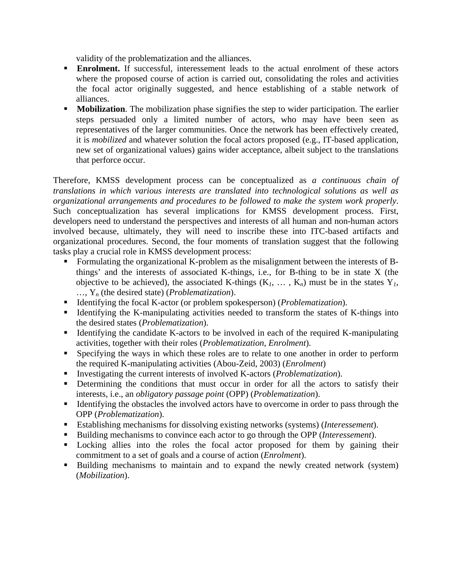validity of the problematization and the alliances.

- **Enrolment.** If successful, interessement leads to the actual enrolment of these actors where the proposed course of action is carried out, consolidating the roles and activities the focal actor originally suggested, and hence establishing of a stable network of alliances.
- **Mobilization**. The mobilization phase signifies the step to wider participation. The earlier steps persuaded only a limited number of actors, who may have been seen as representatives of the larger communities. Once the network has been effectively created, it is *mobilized* and whatever solution the focal actors proposed (e.g., IT-based application, new set of organizational values) gains wider acceptance, albeit subject to the translations that perforce occur.

Therefore, KMSS development process can be conceptualized as *a continuous chain of translations in which various interests are translated into technological solutions as well as organizational arrangements and procedures to be followed to make the system work properly*. Such conceptualization has several implications for KMSS development process. First, developers need to understand the perspectives and interests of all human and non-human actors involved because, ultimately, they will need to inscribe these into ITC-based artifacts and organizational procedures. Second, the four moments of translation suggest that the following tasks play a crucial role in KMSS development process:

- Formulating the organizational K-problem as the misalignment between the interests of Bthings' and the interests of associated K-things, i.e., for B-thing to be in state X (the objective to be achieved), the associated K-things  $(K_1, \ldots, K_n)$  must be in the states  $Y_1$ , …, Y*n* (the desired state) (*Problematization*).
- Identifying the focal K-actor (or problem spokesperson) (*Problematization*).
- Identifying the K-manipulating activities needed to transform the states of K-things into the desired states (*Problematization*).
- Identifying the candidate K-actors to be involved in each of the required K-manipulating activities, together with their roles (*Problematization*, *Enrolment*).
- Specifying the ways in which these roles are to relate to one another in order to perform the required K-manipulating activities (Abou-Zeid, 2003) (*Enrolment*)
- Investigating the current interests of involved K-actors (*Problematization*).
- Determining the conditions that must occur in order for all the actors to satisfy their interests, i.e., an *obligatory passage point* (OPP) (*Problematization*).
- Identifying the obstacles the involved actors have to overcome in order to pass through the OPP (*Problematization*).
- Establishing mechanisms for dissolving existing networks (systems) (*Interessement*).
- Building mechanisms to convince each actor to go through the OPP (*Interessement*).
- Locking allies into the roles the focal actor proposed for them by gaining their commitment to a set of goals and a course of action (*Enrolment*).
- Building mechanisms to maintain and to expand the newly created network (system) (*Mobilization*).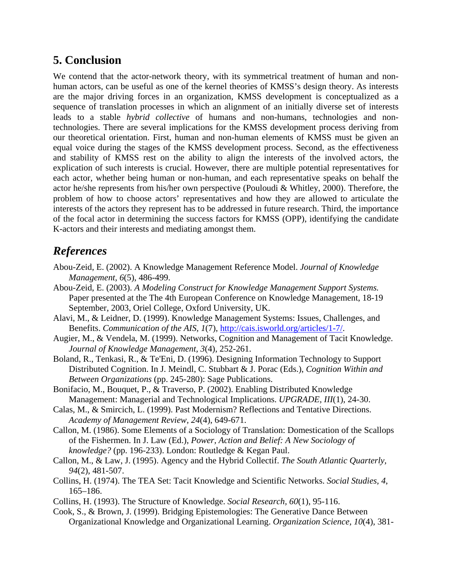### **5. Conclusion**

We contend that the actor-network theory, with its symmetrical treatment of human and nonhuman actors, can be useful as one of the kernel theories of KMSS's design theory. As interests are the major driving forces in an organization, KMSS development is conceptualized as a sequence of translation processes in which an alignment of an initially diverse set of interests leads to a stable *hybrid collective* of humans and non-humans, technologies and nontechnologies. There are several implications for the KMSS development process deriving from our theoretical orientation. First, human and non-human elements of KMSS must be given an equal voice during the stages of the KMSS development process. Second, as the effectiveness and stability of KMSS rest on the ability to align the interests of the involved actors, the explication of such interests is crucial. However, there are multiple potential representatives for each actor, whether being human or non-human, and each representative speaks on behalf the actor he/she represents from his/her own perspective (Pouloudi & Whitley, 2000). Therefore, the problem of how to choose actors' representatives and how they are allowed to articulate the interests of the actors they represent has to be addressed in future research. Third, the importance of the focal actor in determining the success factors for KMSS (OPP), identifying the candidate K-actors and their interests and mediating amongst them.

### *References*

- Abou-Zeid, E. (2002). A Knowledge Management Reference Model. *Journal of Knowledge Management, 6*(5), 486-499.
- Abou-Zeid, E. (2003). *A Modeling Construct for Knowledge Management Support Systems.* Paper presented at the The 4th European Conference on Knowledge Management, 18-19 September, 2003, Oriel College, Oxford University, UK.
- Alavi, M., & Leidner, D. (1999). Knowledge Management Systems: Issues, Challenges, and Benefits. *Communication of the AIS, 1*(7), http://cais.isworld.org/articles/1-7/.
- Augier, M., & Vendela, M. (1999). Networks, Cognition and Management of Tacit Knowledge. *Journal of Knowledge Management, 3*(4), 252-261.
- Boland, R., Tenkasi, R., & Te'Eni, D. (1996). Designing Information Technology to Support Distributed Cognition. In J. Meindl, C. Stubbart & J. Porac (Eds.), *Cognition Within and Between Organizations* (pp. 245-280): Sage Publications.
- Bonifacio, M., Bouquet, P., & Traverso, P. (2002). Enabling Distributed Knowledge Management: Managerial and Technological Implications. *UPGRADE, III*(1), 24-30.
- Calas, M., & Smircich, L. (1999). Past Modernism? Reflections and Tentative Directions. *Academy of Management Review, 24*(4), 649-671.
- Callon, M. (1986). Some Elements of a Sociology of Translation: Domestication of the Scallops of the Fishermen. In J. Law (Ed.), *Power, Action and Belief: A New Sociology of knowledge?* (pp. 196-233). London: Routledge & Kegan Paul.
- Callon, M., & Law, J. (1995). Agency and the Hybrid Collectif. *The South Atlantic Quarterly, 94*(2), 481-507.
- Collins, H. (1974). The TEA Set: Tacit Knowledge and Scientific Networks. *Social Studies, 4*, 165–186.
- Collins, H. (1993). The Structure of Knowledge. *Social Research, 60*(1), 95-116.
- Cook, S., & Brown, J. (1999). Bridging Epistemologies: The Generative Dance Between Organizational Knowledge and Organizational Learning. *Organization Science, 10*(4), 381-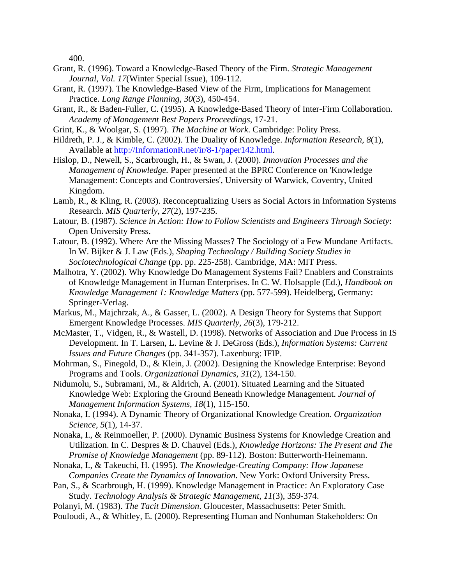400.

- Grant, R. (1996). Toward a Knowledge-Based Theory of the Firm. *Strategic Management Journal, Vol. 17*(Winter Special Issue), 109-112.
- Grant, R. (1997). The Knowledge-Based View of the Firm, Implications for Management Practice. *Long Range Planning, 30*(3), 450-454.
- Grant, R., & Baden-Fuller, C. (1995). A Knowledge-Based Theory of Inter-Firm Collaboration. *Academy of Management Best Papers Proceedings*, 17-21.
- Grint, K., & Woolgar, S. (1997). *The Machine at Work*. Cambridge: Polity Press.
- Hildreth, P. J., & Kimble, C. (2002). The Duality of Knowledge. *Information Research, 8*(1), Available at http://InformationR.net/ir/8-1/paper142.html.
- Hislop, D., Newell, S., Scarbrough, H., & Swan, J. (2000). *Innovation Processes and the Management of Knowledge.* Paper presented at the BPRC Conference on 'Knowledge Management: Concepts and Controversies', University of Warwick, Coventry, United Kingdom.
- Lamb, R., & Kling, R. (2003). Reconceptualizing Users as Social Actors in Information Systems Research. *MIS Quarterly, 27*(2), 197-235.
- Latour, B. (1987). *Science in Action: How to Follow Scientists and Engineers Through Society*: Open University Press.
- Latour, B. (1992). Where Are the Missing Masses? The Sociology of a Few Mundane Artifacts. In W. Bijker & J. Law (Eds.), *Shaping Technology / Building Society Studies in Sociotechnological Change* (pp. pp. 225-258). Cambridge, MA: MIT Press.
- Malhotra, Y. (2002). Why Knowledge Do Management Systems Fail? Enablers and Constraints of Knowledge Management in Human Enterprises. In C. W. Holsapple (Ed.), *Handbook on Knowledge Management 1: Knowledge Matters* (pp. 577-599). Heidelberg, Germany: Springer-Verlag.
- Markus, M., Majchrzak, A., & Gasser, L. (2002). A Design Theory for Systems that Support Emergent Knowledge Processes. *MIS Quarterly, 26*(3), 179-212.
- McMaster, T., Vidgen, R., & Wastell, D. (1998). Networks of Association and Due Process in IS Development. In T. Larsen, L. Levine & J. DeGross (Eds.), *Information Systems: Current Issues and Future Changes* (pp. 341-357). Laxenburg: IFIP.
- Mohrman, S., Finegold, D., & Klein, J. (2002). Designing the Knowledge Enterprise: Beyond Programs and Tools. *Organizational Dynamics, 31*(2), 134-150.
- Nidumolu, S., Subramani, M., & Aldrich, A. (2001). Situated Learning and the Situated Knowledge Web: Exploring the Ground Beneath Knowledge Management. *Journal of Management Information Systems, 18*(1), 115-150.
- Nonaka, I. (1994). A Dynamic Theory of Organizational Knowledge Creation. *Organization Science, 5*(1), 14-37.
- Nonaka, I., & Reinmoeller, P. (2000). Dynamic Business Systems for Knowledge Creation and Utilization. In C. Despres & D. Chauvel (Eds.), *Knowledge Horizons: The Present and The Promise of Knowledge Management* (pp. 89-112). Boston: Butterworth-Heinemann.
- Nonaka, I., & Takeuchi, H. (1995). *The Knowledge-Creating Company: How Japanese Companies Create the Dynamics of Innovation*. New York: Oxford University Press.
- Pan, S., & Scarbrough, H. (1999). Knowledge Management in Practice: An Exploratory Case Study. *Technology Analysis & Strategic Management, 11*(3), 359-374.
- Polanyi, M. (1983). *The Tacit Dimension*. Gloucester, Massachusetts: Peter Smith.
- Pouloudi, A., & Whitley, E. (2000). Representing Human and Nonhuman Stakeholders: On